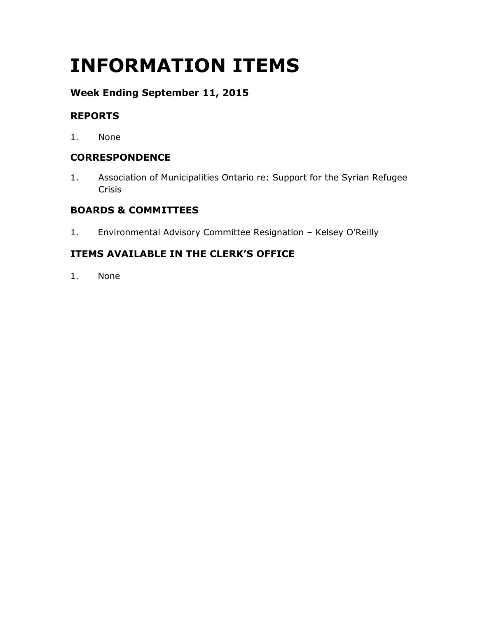# **INFORMATION ITEMS**

### **Week Ending September 11, 2015**

#### **REPORTS**

1. None

#### **CORRESPONDENCE**

1. Association of Municipalities Ontario re: Support for the Syrian Refugee Crisis

#### **BOARDS & COMMITTEES**

1. Environmental Advisory Committee Resignation – Kelsey O'Reilly

#### **ITEMS AVAILABLE IN THE CLERK'S OFFICE**

1. None